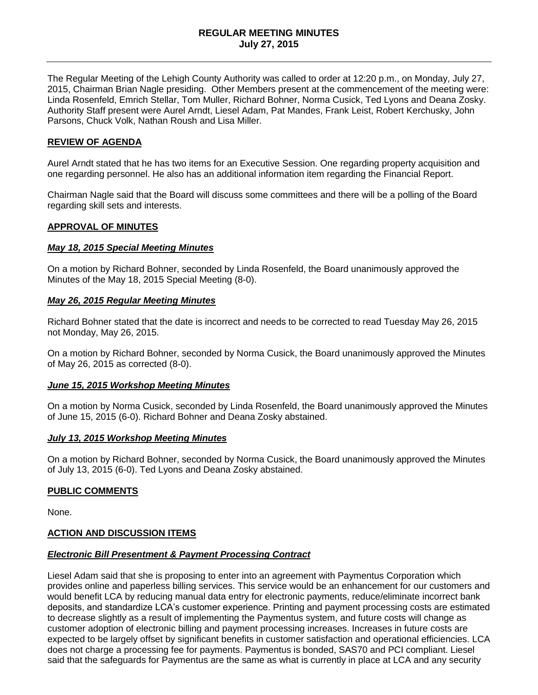The Regular Meeting of the Lehigh County Authority was called to order at 12:20 p.m., on Monday, July 27, 2015, Chairman Brian Nagle presiding. Other Members present at the commencement of the meeting were: Linda Rosenfeld, Emrich Stellar, Tom Muller, Richard Bohner, Norma Cusick, Ted Lyons and Deana Zosky. Authority Staff present were Aurel Arndt, Liesel Adam, Pat Mandes, Frank Leist, Robert Kerchusky, John Parsons, Chuck Volk, Nathan Roush and Lisa Miller.

## **REVIEW OF AGENDA**

Aurel Arndt stated that he has two items for an Executive Session. One regarding property acquisition and one regarding personnel. He also has an additional information item regarding the Financial Report.

Chairman Nagle said that the Board will discuss some committees and there will be a polling of the Board regarding skill sets and interests.

### **APPROVAL OF MINUTES**

#### *May 18, 2015 Special Meeting Minutes*

On a motion by Richard Bohner, seconded by Linda Rosenfeld, the Board unanimously approved the Minutes of the May 18, 2015 Special Meeting (8-0).

### *May 26, 2015 Regular Meeting Minutes*

Richard Bohner stated that the date is incorrect and needs to be corrected to read Tuesday May 26, 2015 not Monday, May 26, 2015.

On a motion by Richard Bohner, seconded by Norma Cusick, the Board unanimously approved the Minutes of May 26, 2015 as corrected (8-0).

#### *June 15, 2015 Workshop Meeting Minutes*

On a motion by Norma Cusick, seconded by Linda Rosenfeld, the Board unanimously approved the Minutes of June 15, 2015 (6-0). Richard Bohner and Deana Zosky abstained.

#### *July 13, 2015 Workshop Meeting Minutes*

On a motion by Richard Bohner, seconded by Norma Cusick, the Board unanimously approved the Minutes of July 13, 2015 (6-0). Ted Lyons and Deana Zosky abstained.

#### **PUBLIC COMMENTS**

None.

## **ACTION AND DISCUSSION ITEMS**

#### *Electronic Bill Presentment & Payment Processing Contract*

Liesel Adam said that she is proposing to enter into an agreement with Paymentus Corporation which provides online and paperless billing services. This service would be an enhancement for our customers and would benefit LCA by reducing manual data entry for electronic payments, reduce/eliminate incorrect bank deposits, and standardize LCA's customer experience. Printing and payment processing costs are estimated to decrease slightly as a result of implementing the Paymentus system, and future costs will change as customer adoption of electronic billing and payment processing increases. Increases in future costs are expected to be largely offset by significant benefits in customer satisfaction and operational efficiencies. LCA does not charge a processing fee for payments. Paymentus is bonded, SAS70 and PCI compliant. Liesel said that the safeguards for Paymentus are the same as what is currently in place at LCA and any security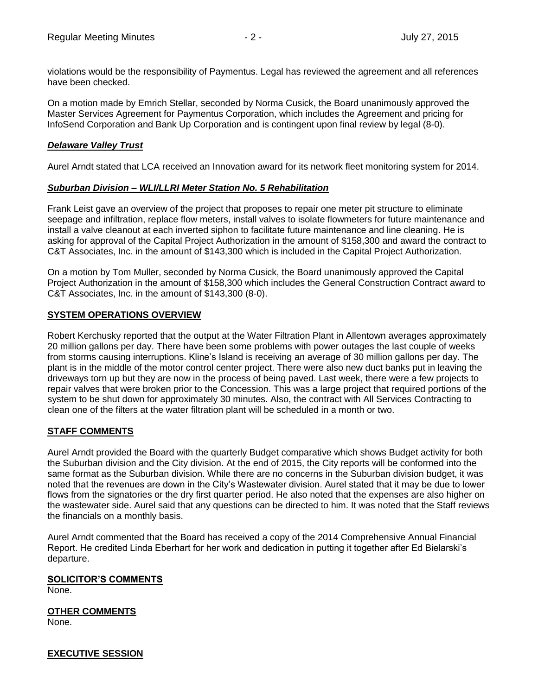violations would be the responsibility of Paymentus. Legal has reviewed the agreement and all references have been checked.

On a motion made by Emrich Stellar, seconded by Norma Cusick, the Board unanimously approved the Master Services Agreement for Paymentus Corporation, which includes the Agreement and pricing for InfoSend Corporation and Bank Up Corporation and is contingent upon final review by legal (8-0).

# *Delaware Valley Trust*

Aurel Arndt stated that LCA received an Innovation award for its network fleet monitoring system for 2014.

## *Suburban Division – WLI/LLRI Meter Station No. 5 Rehabilitation*

Frank Leist gave an overview of the project that proposes to repair one meter pit structure to eliminate seepage and infiltration, replace flow meters, install valves to isolate flowmeters for future maintenance and install a valve cleanout at each inverted siphon to facilitate future maintenance and line cleaning. He is asking for approval of the Capital Project Authorization in the amount of \$158,300 and award the contract to C&T Associates, Inc. in the amount of \$143,300 which is included in the Capital Project Authorization.

On a motion by Tom Muller, seconded by Norma Cusick, the Board unanimously approved the Capital Project Authorization in the amount of \$158,300 which includes the General Construction Contract award to C&T Associates, Inc. in the amount of \$143,300 (8-0).

## **SYSTEM OPERATIONS OVERVIEW**

Robert Kerchusky reported that the output at the Water Filtration Plant in Allentown averages approximately 20 million gallons per day. There have been some problems with power outages the last couple of weeks from storms causing interruptions. Kline's Island is receiving an average of 30 million gallons per day. The plant is in the middle of the motor control center project. There were also new duct banks put in leaving the driveways torn up but they are now in the process of being paved. Last week, there were a few projects to repair valves that were broken prior to the Concession. This was a large project that required portions of the system to be shut down for approximately 30 minutes. Also, the contract with All Services Contracting to clean one of the filters at the water filtration plant will be scheduled in a month or two.

# **STAFF COMMENTS**

Aurel Arndt provided the Board with the quarterly Budget comparative which shows Budget activity for both the Suburban division and the City division. At the end of 2015, the City reports will be conformed into the same format as the Suburban division. While there are no concerns in the Suburban division budget, it was noted that the revenues are down in the City's Wastewater division. Aurel stated that it may be due to lower flows from the signatories or the dry first quarter period. He also noted that the expenses are also higher on the wastewater side. Aurel said that any questions can be directed to him. It was noted that the Staff reviews the financials on a monthly basis.

Aurel Arndt commented that the Board has received a copy of the 2014 Comprehensive Annual Financial Report. He credited Linda Eberhart for her work and dedication in putting it together after Ed Bielarski's departure.

## **SOLICITOR'S COMMENTS**

None.

**OTHER COMMENTS**

None.

**EXECUTIVE SESSION**